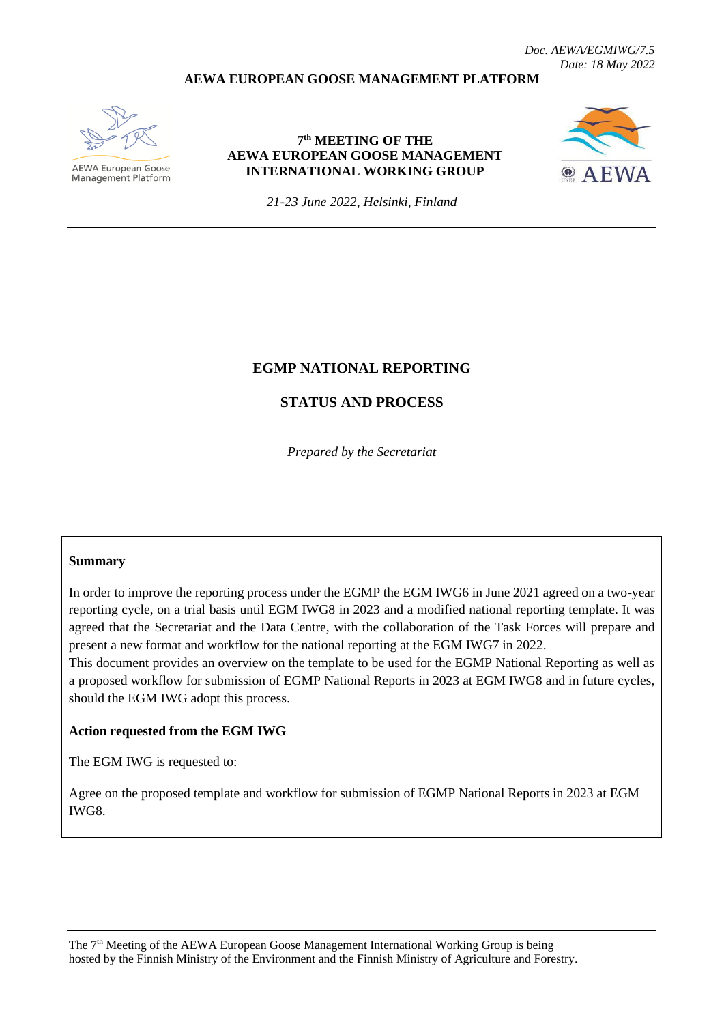*Doc. AEWA/EGMIWG/7.5 Date: 18 May 2022*

### **AEWA EUROPEAN GOOSE MANAGEMENT PLATFORM**



AEWA European Goose Management Platform

### **7 th MEETING OF THE AEWA EUROPEAN GOOSE MANAGEMENT INTERNATIONAL WORKING GROUP**



*21-23 June 2022, Helsinki, Finland*

# **EGMP NATIONAL REPORTING**

# **STATUS AND PROCESS**

*Prepared by the Secretariat*

#### **Summary**

In order to improve the reporting process under the EGMP the EGM IWG6 in June 2021 agreed on a two-year reporting cycle, on a trial basis until EGM IWG8 in 2023 and a modified national reporting template. It was agreed that the Secretariat and the Data Centre, with the collaboration of the Task Forces will prepare and present a new format and workflow for the national reporting at the EGM IWG7 in 2022.

This document provides an overview on the template to be used for the EGMP National Reporting as well as a proposed workflow for submission of EGMP National Reports in 2023 at EGM IWG8 and in future cycles, should the EGM IWG adopt this process.

#### **Action requested from the EGM IWG**

The EGM IWG is requested to:

Agree on the proposed template and workflow for submission of EGMP National Reports in 2023 at EGM IWG8.

The 7<sup>th</sup> Meeting of the AEWA European Goose Management International Working Group is being hosted by the Finnish Ministry of the Environment and the Finnish Ministry of Agriculture and Forestry.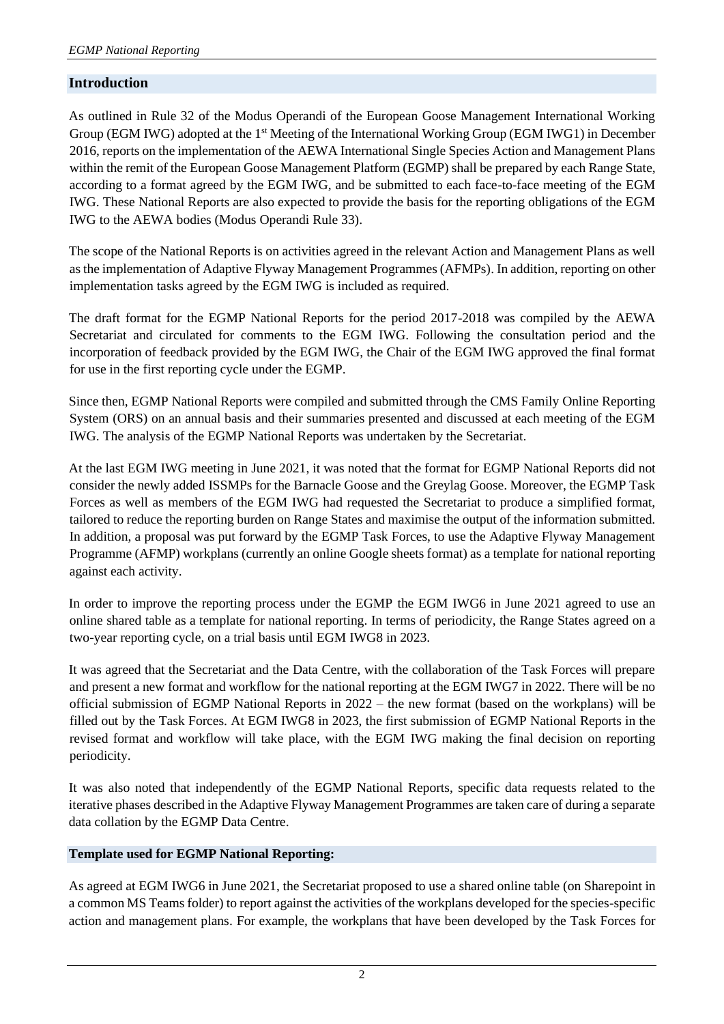# **Introduction**

As outlined in Rule 32 of the Modus Operandi of the European Goose Management International Working Group (EGM IWG) adopted at the 1<sup>st</sup> Meeting of the International Working Group (EGM IWG1) in December 2016, reports on the implementation of the AEWA International Single Species Action and Management Plans within the remit of the European Goose Management Platform (EGMP) shall be prepared by each Range State, according to a format agreed by the EGM IWG, and be submitted to each face-to-face meeting of the EGM IWG. These National Reports are also expected to provide the basis for the reporting obligations of the EGM IWG to the AEWA bodies (Modus Operandi Rule 33).

The scope of the National Reports is on activities agreed in the relevant Action and Management Plans as well as the implementation of Adaptive Flyway Management Programmes (AFMPs). In addition, reporting on other implementation tasks agreed by the EGM IWG is included as required.

The draft format for the EGMP National Reports for the period 2017-2018 was compiled by the AEWA Secretariat and circulated for comments to the EGM IWG. Following the consultation period and the incorporation of feedback provided by the EGM IWG, the Chair of the EGM IWG approved the final format for use in the first reporting cycle under the EGMP.

Since then, EGMP National Reports were compiled and submitted through the CMS Family Online Reporting System (ORS) on an annual basis and their summaries presented and discussed at each meeting of the EGM IWG. The analysis of the EGMP National Reports was undertaken by the Secretariat.

At the last EGM IWG meeting in June 2021, it was noted that the format for EGMP National Reports did not consider the newly added ISSMPs for the Barnacle Goose and the Greylag Goose. Moreover, the EGMP Task Forces as well as members of the EGM IWG had requested the Secretariat to produce a simplified format, tailored to reduce the reporting burden on Range States and maximise the output of the information submitted. In addition, a proposal was put forward by the EGMP Task Forces, to use the Adaptive Flyway Management Programme (AFMP) workplans (currently an online Google sheets format) as a template for national reporting against each activity.

In order to improve the reporting process under the EGMP the EGM IWG6 in June 2021 agreed to use an online shared table as a template for national reporting. In terms of periodicity, the Range States agreed on a two-year reporting cycle, on a trial basis until EGM IWG8 in 2023.

It was agreed that the Secretariat and the Data Centre, with the collaboration of the Task Forces will prepare and present a new format and workflow for the national reporting at the EGM IWG7 in 2022. There will be no official submission of EGMP National Reports in 2022 – the new format (based on the workplans) will be filled out by the Task Forces. At EGM IWG8 in 2023, the first submission of EGMP National Reports in the revised format and workflow will take place, with the EGM IWG making the final decision on reporting periodicity.

It was also noted that independently of the EGMP National Reports, specific data requests related to the iterative phases described in the Adaptive Flyway Management Programmes are taken care of during a separate data collation by the EGMP Data Centre.

# **Template used for EGMP National Reporting:**

As agreed at EGM IWG6 in June 2021, the Secretariat proposed to use a shared online table (on Sharepoint in a common MS Teams folder) to report against the activities of the workplans developed for the species-specific action and management plans. For example, the workplans that have been developed by the Task Forces for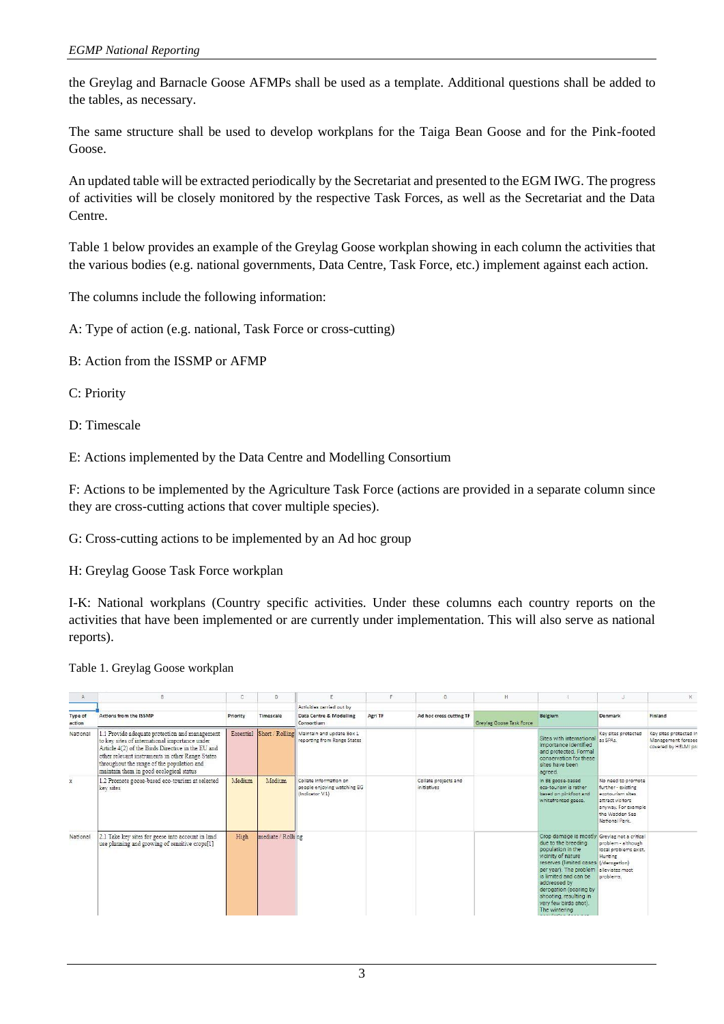the Greylag and Barnacle Goose AFMPs shall be used as a template. Additional questions shall be added to the tables, as necessary.

The same structure shall be used to develop workplans for the Taiga Bean Goose and for the Pink-footed Goose.

An updated table will be extracted periodically by the Secretariat and presented to the EGM IWG. The progress of activities will be closely monitored by the respective Task Forces, as well as the Secretariat and the Data Centre.

Table 1 below provides an example of the Greylag Goose workplan showing in each column the activities that the various bodies (e.g. national governments, Data Centre, Task Force, etc.) implement against each action.

The columns include the following information:

A: Type of action (e.g. national, Task Force or cross-cutting)

- B: Action from the ISSMP or AFMP
- C: Priority
- D: Timescale

E: Actions implemented by the Data Centre and Modelling Consortium

F: Actions to be implemented by the Agriculture Task Force (actions are provided in a separate column since they are cross-cutting actions that cover multiple species).

G: Cross-cutting actions to be implemented by an Ad hoc group

H: Greylag Goose Task Force workplan

I-K: National workplans (Country specific activities. Under these columns each country reports on the activities that have been implemented or are currently under implementation. This will also serve as national reports).

Table 1. Greylag Goose workplan

| A                        |                                                                                                                                                                                                                                                                                                    | c         | Ð                  |                                                                          | c       | G                                   | H.                       |                                                                                                                                                                                                                                                                                                                                                                  |                                                                                                                                             |                                                                      |
|--------------------------|----------------------------------------------------------------------------------------------------------------------------------------------------------------------------------------------------------------------------------------------------------------------------------------------------|-----------|--------------------|--------------------------------------------------------------------------|---------|-------------------------------------|--------------------------|------------------------------------------------------------------------------------------------------------------------------------------------------------------------------------------------------------------------------------------------------------------------------------------------------------------------------------------------------------------|---------------------------------------------------------------------------------------------------------------------------------------------|----------------------------------------------------------------------|
| <b>Type of</b><br>action | <b>Actions from the ISSMP</b>                                                                                                                                                                                                                                                                      | Priority  | Timescale          | Activities carried out by<br>Data Centre & Modelling<br>Consortium       | Agri TF | Ad hoc cross cutting TF             | Greylag Goose Task Force | Belgium                                                                                                                                                                                                                                                                                                                                                          | Denmark                                                                                                                                     | Finland                                                              |
| National                 | 1.1 Provide adequate protection and management<br>to key sites of international importance under<br>Article 4(2) of the Birds Directive in the EU and<br>other relevant instruments in other Range States<br>throughout the range of the population and<br>maintain them in good ecological status | Essential | Short / Rolling    | Maintain and update Box 1<br>reporting from Range States                 |         |                                     |                          | Sites with international<br>importance identified<br>and protected. Formal<br>conservation for these<br>sites have been<br>agreed.                                                                                                                                                                                                                               | Key sites protected<br>as SPAs.                                                                                                             | Key sites protected in<br>Management foresee<br>covered by HELMI pro |
| $\mathbf{x}$             | 1.2 Promote goose-based eco-tourism at selected<br>key sites                                                                                                                                                                                                                                       | Medium    | Medium             | Collate information on<br>people enjoying watching BG<br>(Indicator V.1) |         | Collate projects and<br>initiatives |                          | In BE goose-based<br>eco-tourism is rather<br>based on pinkfoot and<br>whitefronted geese.                                                                                                                                                                                                                                                                       | No need to promote<br>further - existing<br>ecotourism sites<br>attract visitors<br>anyway. For example<br>the Wadden Sea<br>National Park. |                                                                      |
| National                 | 2.1 Take key sites for geese into account in land<br>use planning and growing of sensitive crops[1]                                                                                                                                                                                                | High      | mediate / Rolli ng |                                                                          |         |                                     |                          | Crop damage is mostly Greylag not a critical<br>due to the breeding<br>population in the<br>vicinity of nature<br>reserves (limited cases (/derogation)<br>per year). The problem<br>is limited and can be<br>addressed by<br>derogation (scaring by<br>shooting, resulting in<br>very few birds shot).<br>The wintering<br>ومحامد والمستقلات والمتعادل والمتحدة | problem - although<br>local problems exist.<br>Hunting<br>alleviates most<br>problems.                                                      |                                                                      |